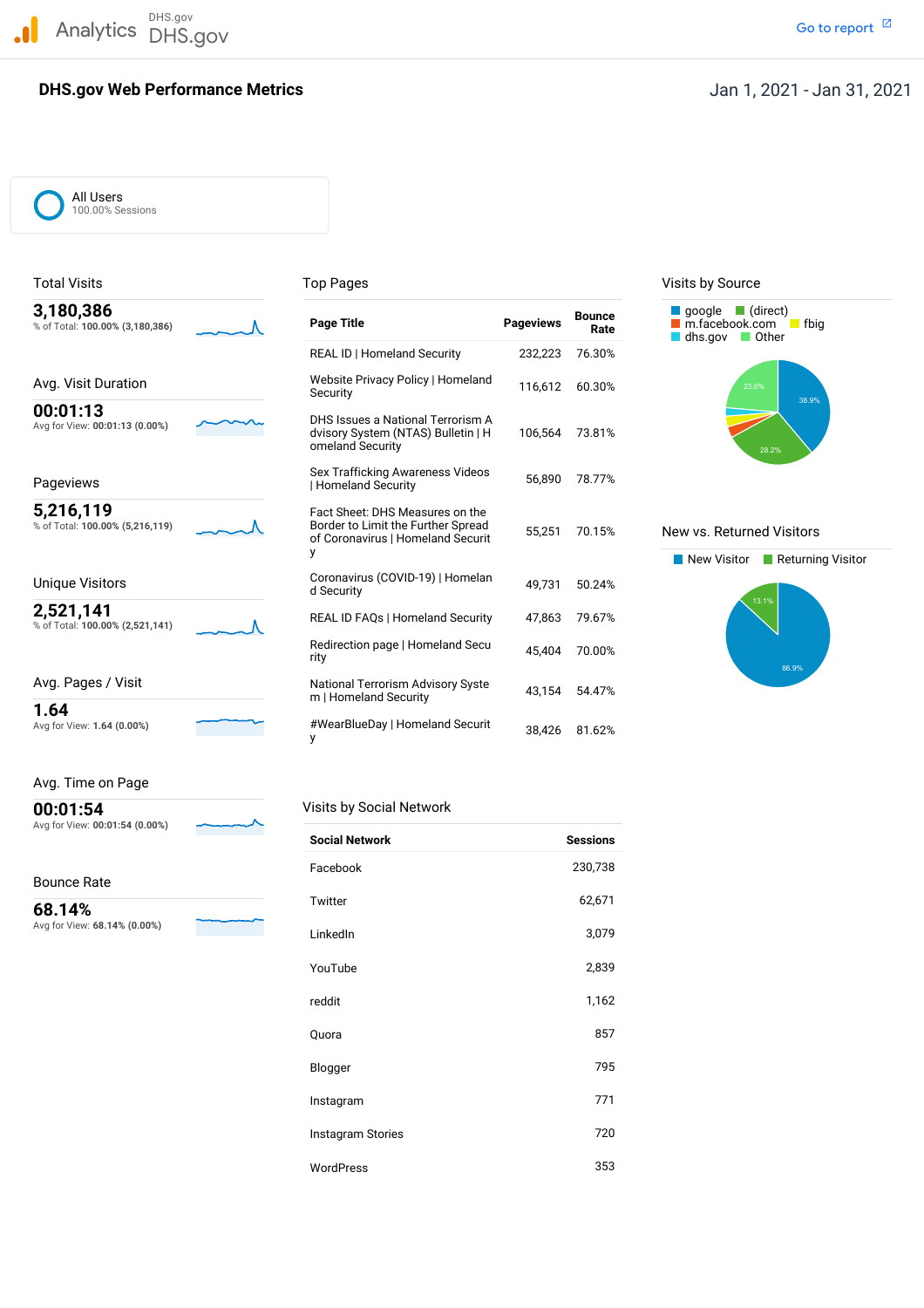DHS.gov Analytics DHS.gov and the contract of the contract of the contract of the contract of the contract of the contract of the contract of the contract of the contract of the contract of the contract of the contract of the cont

# **DHS.gov Web Performance Metrics**

# Jan 1, 2021 - Jan 31, 2021

All Users 100.00% Sessions

| 3,180,386<br>% of Total: 100.00% (3,180,386) | <b>Page Title</b>                                                                                               | <b>Pageviews</b> | <b>Bounce</b><br>Rate | $\Box$ google $\Box$ (direct)<br>m.facebook.com<br>fbig<br>dhs.gov<br>$\blacksquare$ Other |
|----------------------------------------------|-----------------------------------------------------------------------------------------------------------------|------------------|-----------------------|--------------------------------------------------------------------------------------------|
|                                              | REAL ID   Homeland Security                                                                                     | 232,223          | 76.30%                |                                                                                            |
| Avg. Visit Duration                          | Website Privacy Policy   Homeland<br>Security                                                                   | 116,612          | 60.30%                | 23.6%<br>38.9%                                                                             |
| 00:01:13<br>Avg for View: 00:01:13 (0.00%)   | DHS Issues a National Terrorism A<br>dvisory System (NTAS) Bulletin   H<br>omeland Security                     | 106,564          | 73.81%                | 28.2%                                                                                      |
| Pageviews                                    | Sex Trafficking Awareness Videos<br>Homeland Security                                                           | 56.890           | 78.77%                |                                                                                            |
| 5,216,119<br>% of Total: 100.00% (5,216,119) | Fact Sheet: DHS Measures on the<br>Border to Limit the Further Spread<br>of Coronavirus   Homeland Securit<br>y | 55,251           | 70.15%                | New vs. Returned Visitors<br>New Visitor<br>$\blacksquare$ Returning                       |
| Unique Visitors                              | Coronavirus (COVID-19)   Homelan<br>d Security                                                                  | 49,731           | 50.24%                |                                                                                            |
| 2,521,141<br>% of Total: 100.00% (2,521,141) | <b>REAL ID FAQs   Homeland Security</b>                                                                         | 47,863           | 79.67%                | 13.1%                                                                                      |
|                                              | Redirection page   Homeland Secu<br>rity                                                                        | 45,404           | 70.00%                | 86.9%                                                                                      |
| Avg. Pages / Visit                           | <b>National Terrorism Advisory Syste</b><br>m   Homeland Security                                               | 43,154           | 54.47%                |                                                                                            |
| 1.64<br>Avg for View: 1.64 (0.00%)           | #WearBlueDay   Homeland Securit<br>у                                                                            | 38.426           | 81.62%                |                                                                                            |

Total Visits **Top Pages** Top Pages Top Pages Visits by Source





### Avg. Time on Page

 Avg for View: **00:01:54 (0.00%) 00:01:54**<br>Avg for View: 00:01:54 (0.00%)

Bounce Rate

 Avg for View: **68.14% (0.00%) 68.14%**

<u> The Communication of the Communication of the Communication of the Communication of the Communication of the Communication of the Communication of the Communication of the Communication of the Communication of the Commun</u>

|  |  | Visits by Social Network |  |  |  |  |
|--|--|--------------------------|--|--|--|--|
|--|--|--------------------------|--|--|--|--|

| <b>Social Network</b> | <b>Sessions</b> |
|-----------------------|-----------------|
| Facebook              | 230,738         |
| Twitter               | 62,671          |
| LinkedIn              | 3,079           |
| YouTube               | 2,839           |
| reddit                | 1,162           |
| Quora                 | 857             |
| Blogger               | 795             |
| Instagram             | 771             |
| Instagram Stories     | 720             |
| <b>WordPress</b>      | 353             |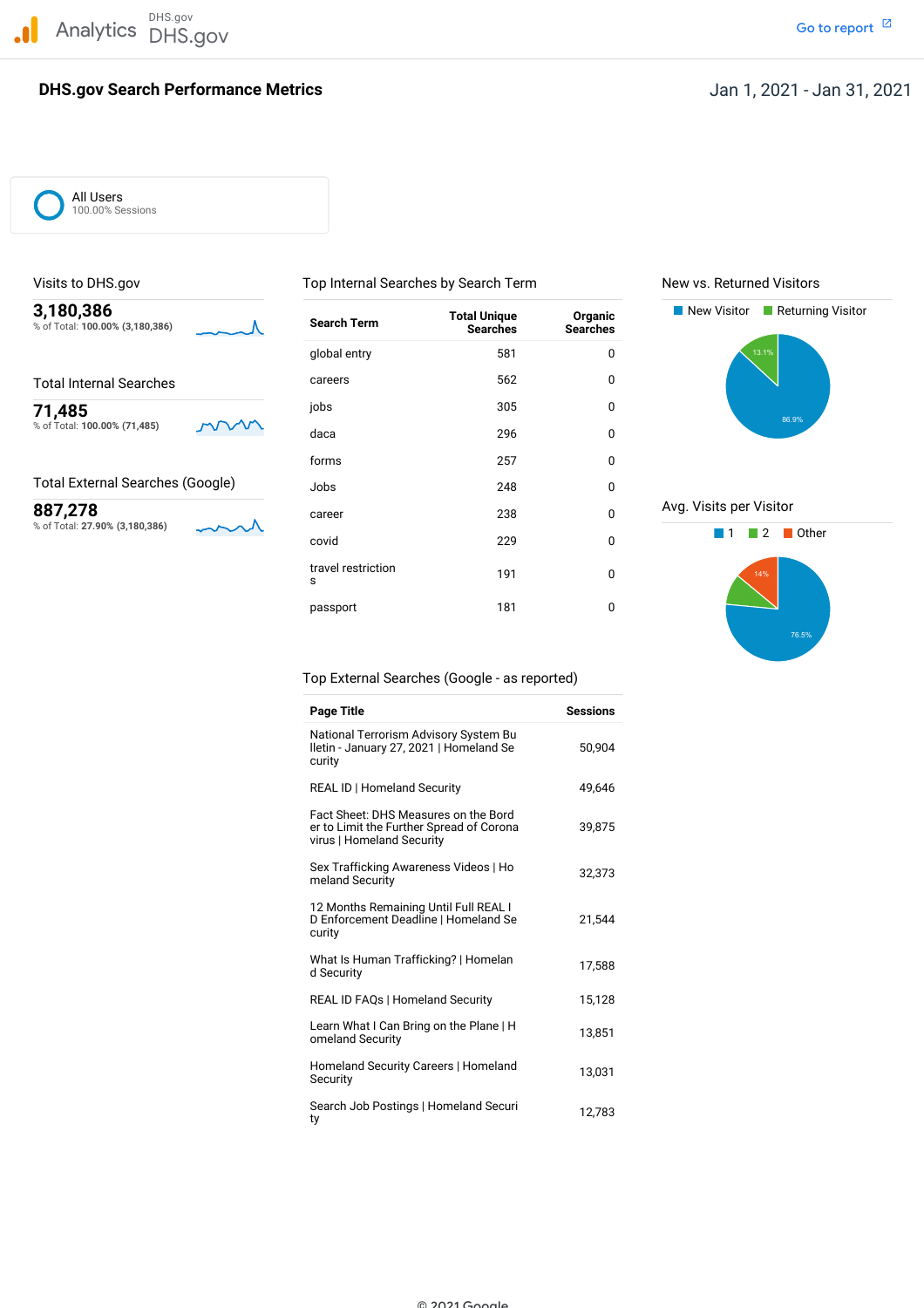DHS.gov Analytics DHS.gov and the contract of the contract of the contract of the contract of the contract of the contract of the contract of the contract of the contract of the contract of the contract of the contract of the cont

# **DHS.gov Search Performance Metrics**

All Users 100.00% Sessions

% of Total: 100.00% (3,180,386)

% of Total: 27.90% (3,180,386)

% of Total: 100.00% (71,485) and the Maca data and the Maca data of the Maca data of the Maca data of the Maca data of the Maca data of the Maca data of the Maca data of the Maca data of the Maca data of the Maca data of t **3,180,386 New Visitor Returning Visitor Search Term Total Unique Organic New Visitor Returning Visitor Search Term Searches Searches** global entry 581 compared by the set of the set of the set of the set of the set of the set of the set of the s Total Internal Searches **Careers** Careers 562 0 jobs <sup>305</sup> <sup>0</sup> **71,485** forms 257 0 Total External Searches (Google) dobs 348 248 0 **887,278 career** 238 **0** % of Total: **27.90% (3,180,386)** <sup>1</sup> <sup>2</sup> Other covid <sup>229</sup> <sup>0</sup> travel restriction 191 0 passport 181 0

Visits to DHS.gov Top Internal Searches by Search Term New vs. Returned Visitors





Top External Searches (Google - as reported)

| <b>Page Title</b>                                                                                             | <b>Sessions</b> |
|---------------------------------------------------------------------------------------------------------------|-----------------|
| National Terrorism Advisory System Bu<br>Iletin - January 27, 2021   Homeland Se<br>curity                    | 50.904          |
| <b>REAL ID   Homeland Security</b>                                                                            | 49,646          |
| Fact Sheet: DHS Measures on the Bord<br>er to Limit the Further Spread of Corona<br>virus   Homeland Security | 39,875          |
| Sex Trafficking Awareness Videos   Ho<br>meland Security                                                      | 32,373          |
| 12 Months Remaining Until Full REAL I<br>D Enforcement Deadline   Homeland Se<br>curity                       | 21,544          |
| What Is Human Trafficking?   Homelan<br>d Security                                                            | 17,588          |
| <b>REAL ID FAQs   Homeland Security</b>                                                                       | 15,128          |
| Learn What I Can Bring on the Plane   H<br>omeland Security                                                   | 13,851          |
| Homeland Security Careers   Homeland<br>Security                                                              | 13,031          |
| Search Job Postings   Homeland Securi<br>ty                                                                   | 12,783          |

© 2021 Google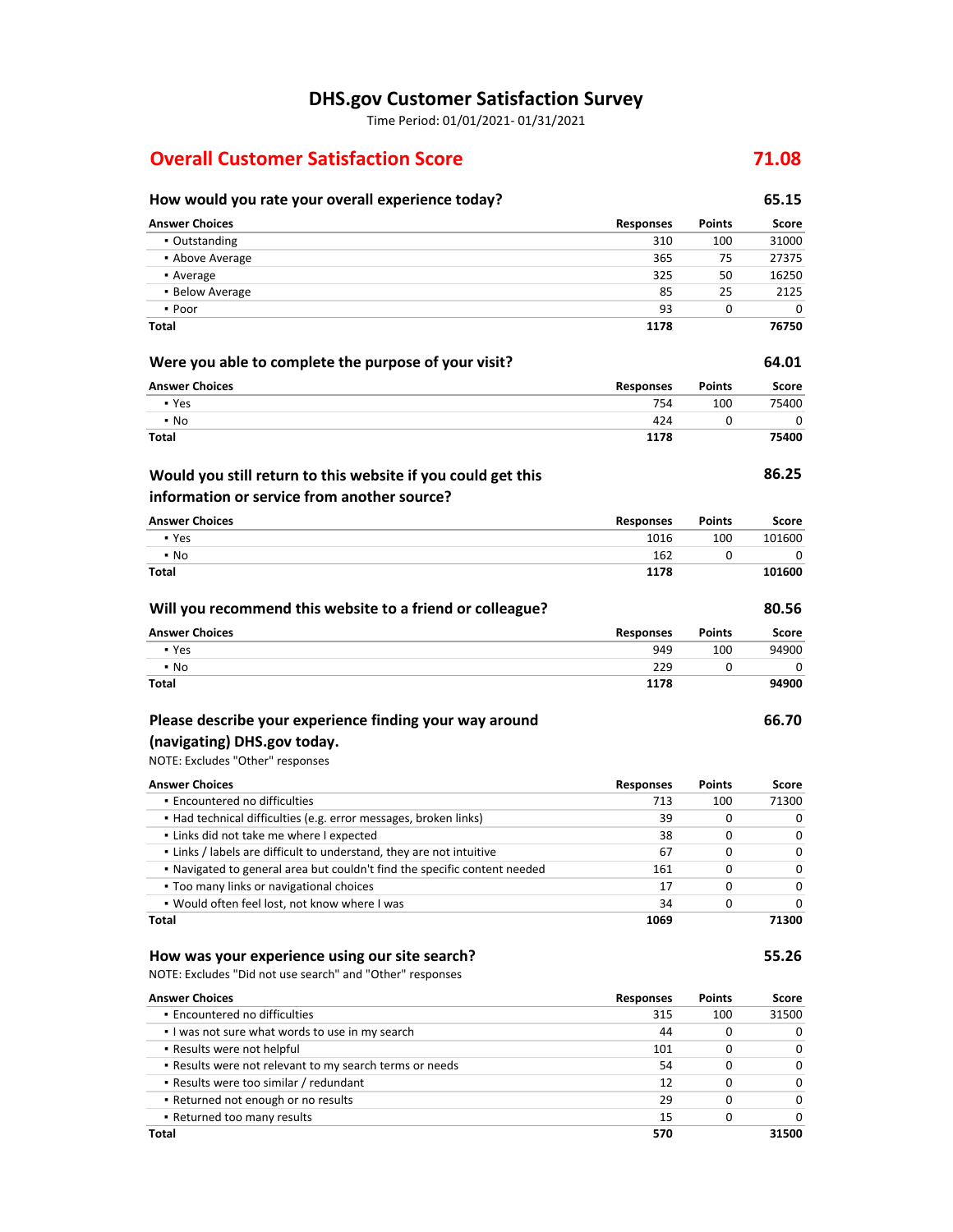# **DHS.gov Customer Satisfaction Survey**

Time Period: 01/01/2021‐ 01/31/2021

# **Overall Customer Satisfaction Score 71.08**

#### **How would you rate your overall experience today? 65.15 Were you able to complete the purpose of your visit? Will you recommend this website to a friend or colleague? Would you still return to this website if you could get this information or service from another source? Answer Choices Responses Points Score •** Outstanding 31000 31000 31000 31000 31000 31000 31000 31000 31000 31000 31000 31000 31000 31000 31000 31000 31000 31000 31000 31000 31000 31000 31000 31000 31000 31000 31000 31000 31000 31000 31000 31000 31000 31000 31 **• Above Average 27375 27375 27375 27375 27375 27375 27375 27375 27375 27375 27375 27375 27375 27375 27375 27375** • Average 325 50 16250 **• Below Average 2125** 2125 ▪ Poor 93 0 0 **Answer Choices** ▪ Yes ▪ No **Answer Choices** ▪ Yes ▪ No **Answer Choices** ▪ Yes ▪ No **1178 Responses** 754 424 **1178 Responses** 1016 162 **1178 Responses** 949 229 **Points** 100  $\Omega$ **Points** 100 0 **Points** 100  $\Omega$ **76750 64.01 Score** 75400 **75400 86.25 Score** 101600 **101600 80.56 Score** 94900

# **Please describe your experience finding your way around**

#### NOTE: Excludes "Other" responses  **(navigating) DHS.gov today.**

**Encountered no difficulties**  ▪ Had technical difficulties (e.g. error messages, broken links) **.** Links did not take me where I expected **•** Links / labels are difficult to understand, they are not intuitive ▪ Navigated to general area but couldn't find the specific content needed **Too many links or navigational choices**  ▪ Would often feel lost, not know where I was **Answer Choices Responses** 713 **Points** 100 **Score** 71300 39 38 67 161 17 34 **1069**  $\Omega$ 0  $\Omega$ 0 0 0 0 0 0 0 0 0 **71300**

#### **Total**

**Total**

**Total**

**Total**

**Total**

### **How was your experience using our site search?**

NOTE: Excludes "Did not use search" and "Other" responses

| <b>Answer Choices</b>                                   | <b>Responses</b> | <b>Points</b> | Score        |
|---------------------------------------------------------|------------------|---------------|--------------|
| • Encountered no difficulties                           | 315              | 100           | 31500        |
| I was not sure what words to use in my search           | 44               | 0             | 0            |
| • Results were not helpful                              | 101              |               | <sup>0</sup> |
| . Results were not relevant to my search terms or needs | 54               | 0             | 0            |
| • Results were too similar / redundant                  | 12               | 0             | <sup>0</sup> |
| • Returned not enough or no results                     | 29               | 0             | <sup>0</sup> |
| • Returned too many results                             | 15               |               | 0            |
| Total                                                   | 570              |               | 31500        |

 $\Omega$ 

0

 $\overline{0}$ **94900**

**66.70**

**55.26**

**1178**